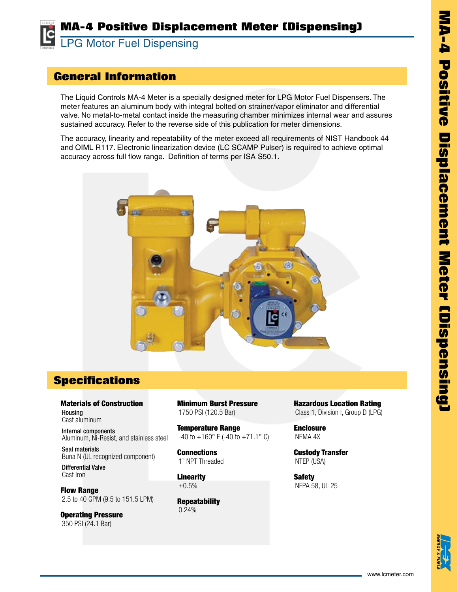## **MA-4 Positive Displacement Meter (Dispensing)**

LC LPG Motor Fuel Dispensing

## **General Information**

The Liquid Controls MA-4 Meter is a specially designed meter for LPG Motor Fuel Dispensers. The meter features an aluminum body with integral bolted on strainer/vapor eliminator and differential valve. No metal-to-metal contact inside the measuring chamber minimizes internal wear and assures sustained accuracy. Refer to the reverse side of this publication for meter dimensions.

The accuracy, linearity and repeatability of the meter exceed all requirements of NIST Handbook 44 and OIML R117. Electronic linearization device (LC SCAMP Pulser) is required to achieve optimal accuracy across full flow range. Definition of terms per ISA S50.1.



## **Specifications**

Materials of Construction Housing Cast aluminum

Internal components Aluminum, Ni-Resist, and stainless steel

Seal materials Buna N (UL recognized component)

Differential Valve Cast Iron

Flow Range 2.5 to 40 GPM (9.5 to 151.5 LPM)

Operating Pressure 350 PSI (24.1 Bar)

Minimum Burst Pressure 1750 PSI (120.5 Bar)

Temperature Range  $-40$  to  $+160^{\circ}$  F ( $-40$  to  $+71.1^{\circ}$  C)

**Connections** 1" NPT Threaded

**Linearity**  $±0.5%$ 

**Repeatability** 0.24%

Hazardous Location Rating Class 1, Division I, Group D (LPG)

**Enclosure** NEMA 4X

Custody Transfer NTEP (USA)

Safety NFPA 58, UL 25